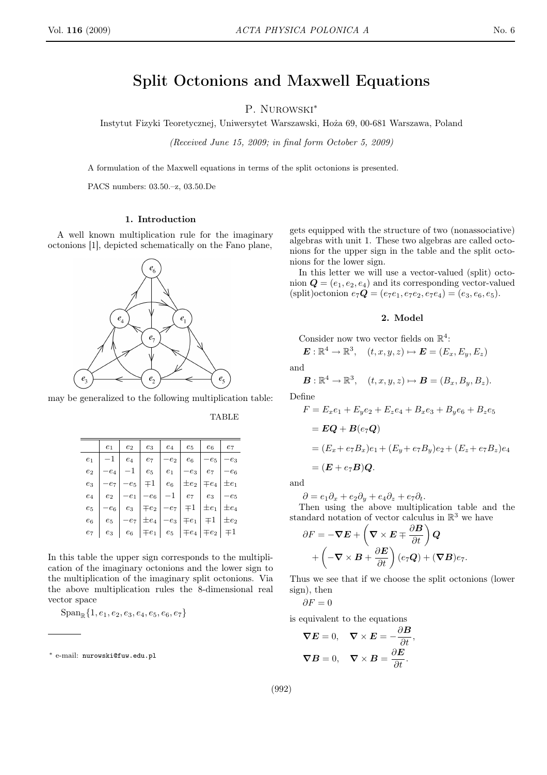# Split Octonions and Maxwell Equations

P NUROWSKI\*

Instytut Fizyki Teoretycznej, Uniwersytet Warszawski, Hoża 69, 00-681 Warszawa, Poland

(Received June 15, 2009; in final form October 5, 2009)

A formulation of the Maxwell equations in terms of the split octonions is presented.

PACS numbers: 03.50 .- z, 03.50 .De

## 1. Introduction

A well known multiplication rule for the imaginary octonions [1], depicted schematically on the Fano plane,

 $e_{\scriptscriptstyle A}$  $e_{1}$  $e_{7}$  $e_{\gamma}$  $e_{5}$ 

may be generalized to the following multiplication table:

**TABLE** 

|                  | $e_1$  | $e_2$  | $e_3$                                                                                                                   | $e_4$           | $e_5$     | $e_6$                  | $\ensuremath{e_7}$  |
|------------------|--------|--------|-------------------------------------------------------------------------------------------------------------------------|-----------------|-----------|------------------------|---------------------|
| $e_1$            | $-1$   |        | $e_4$   $e_7$                                                                                                           | $-e_2$          | $e_6$     | $-e_5$                 | $-e_3$              |
| $\mathfrak{e}_2$ | $-e_4$ | $-1$   | $e_5$                                                                                                                   | $\mid e_1 \mid$ | $-e_3$ '  | $\ensuremath{e_7}$     | $-\boldsymbol{e}_6$ |
| $e_3$            | $-e_7$ | $-e_5$ | $\vert \mp 1 \vert e_6$                                                                                                 |                 | $\pm e_2$ | $\mp e_4$              | $\pm e_1$           |
| $\mathfrak{e}_4$ | $e_2$  |        | $-e_1$ $-e_6$                                                                                                           | $-1$            |           | $e_7$   $e_3$   $-e_5$ |                     |
| $e_5$            | $-e_6$ |        | $e_3$   $\mp e_2$   $-e_7$   $\mp 1$   $\pm e_1$   $\pm e_4$                                                            |                 |           |                        |                     |
| $e_6$            | $e_5$  | $-e_7$ | $ \pm e_4 -e_3  \mp e_1   \mp 1   \pm e_2$                                                                              |                 |           |                        |                     |
| $e_7$            | $e_3$  |        | $\begin{array}{ c c c c c c } \hline \ \text{ } & e_6 & \mp e_1 & e_5 & \mp e_4 & \mp e_2 & \mp 1 \ \hline \end{array}$ |                 |           |                        |                     |

In this table the upper sign corresponds to the multiplication of the imaginary octonions and the lower sign to the multiplication of the imaginary split octonions. Via the above multiplication rules the 8-dimensional real vector space

 $\text{Span}_{\mathbb{R}}\{1, e_1, e_2, e_3, e_4, e_5, e_6, e_7\}$ 

Ë

gets equipped with the structure of two (nonassociative) algebras with unit 1. These two algebras are called octonions for the upper sign in the table and the split octonions for the lower sign.

In this letter we will use a vector-valued (split) octonion  $\mathbf{Q} = (e_1, e_2, e_4)$  and its corresponding vector-valued (split) octonion  $e_7Q = (e_7e_1, e_7e_2, e_7e_4) = (e_3, e_6, e_5).$ 

# 2. Model

Consider now two vector fields on  $\mathbb{R}^4$ :

 $\mathbf{E}: \mathbb{R}^4 \to \mathbb{R}^3$ ,  $(t, x, y, z) \mapsto \mathbf{E} = (E_x, E_y, E_z)$ 

and

$$
\boldsymbol{B}:\mathbb{R}^4\to\mathbb{R}^3,\quad (t,x,y,z)\mapsto\boldsymbol{B}=(B_x,B_y,B_z).
$$

Define

$$
F = E_x e_1 + E_y e_2 + E_z e_4 + B_x e_3 + B_y e_6 + B_z e_5
$$
  
=  $\mathbf{EQ} + \mathbf{B} (e_7 \mathbf{Q})$   
=  $(E_x + e_7 B_x) e_1 + (E_y + e_7 B_y) e_2 + (E_z + e_7 B_z) e_4$   
=  $(\mathbf{E} + e_7 \mathbf{B}) \mathbf{Q}.$ 

and

 $\partial = e_1 \partial_x + e_2 \partial_y + e_4 \partial_z + e_7 \partial_t.$ 

Then using the above multiplication table and the standard notation of vector calculus in  $\mathbb{R}^3$  we have

$$
\partial F = -\nabla E + \left(\nabla \times E + \frac{\partial E}{\partial t}\right) Q + \left(-\nabla \times B + \frac{\partial E}{\partial t}\right)(e_7 Q) + (\nabla B)e_7
$$

Thus we see that if we choose the split octonions (lower sign), then

$$
\partial F = 0
$$

is equivalent to the equations

$$
\nabla \mathbf{E} = 0, \quad \nabla \times \mathbf{E} = -\frac{\partial \mathbf{B}}{\partial t}
$$

$$
\nabla \mathbf{B} = 0, \quad \nabla \times \mathbf{B} = \frac{\partial \mathbf{E}}{\partial t}.
$$

 $(992)$ 



<sup>\*</sup> e-mail: nurowski@fuw.edu.pl